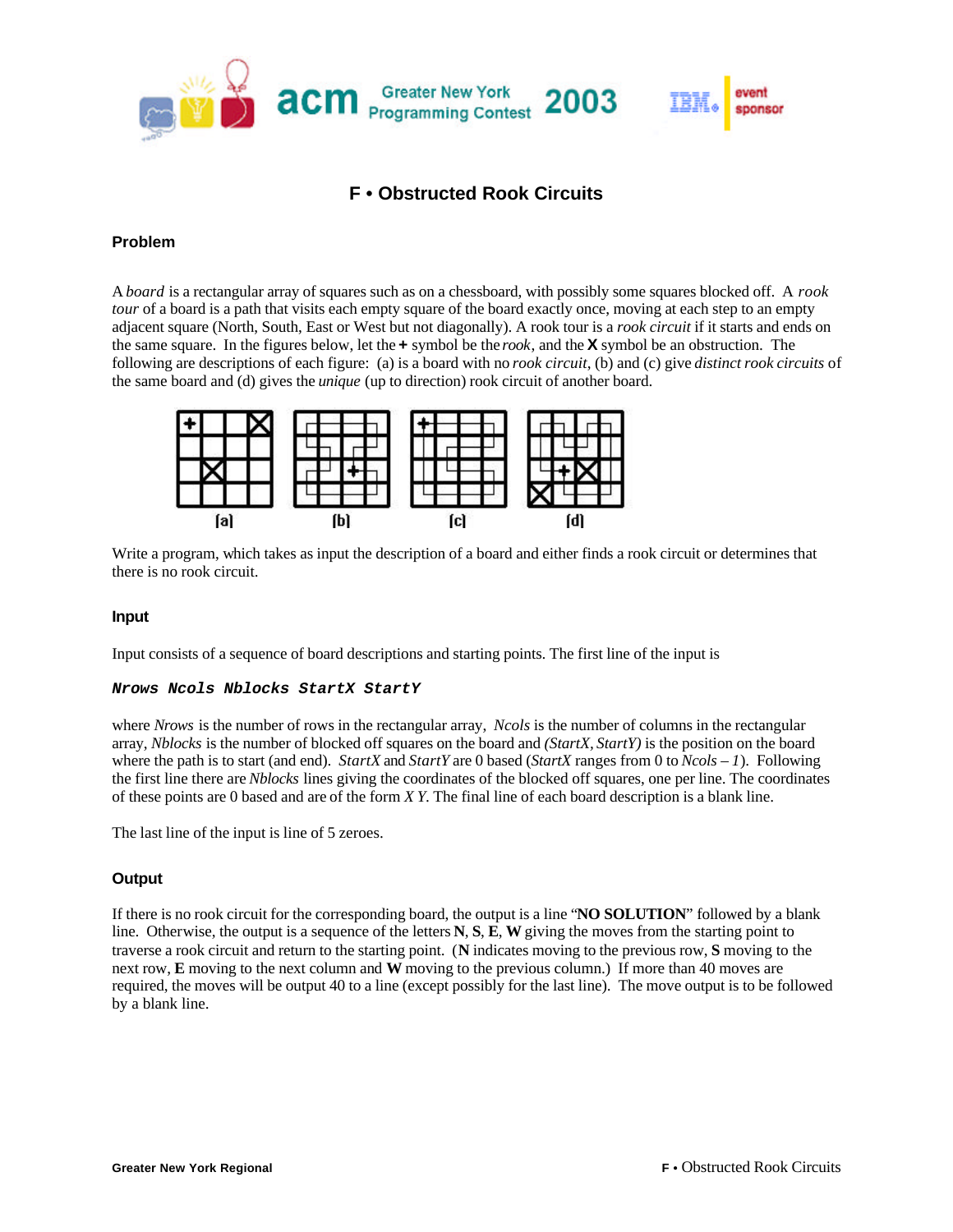

# **F • Obstructed Rook Circuits**

## **Problem**

A *board* is a rectangular array of squares such as on a chessboard, with possibly some squares blocked off. A *rook tour* of a board is a path that visits each empty square of the board exactly once, moving at each step to an empty adjacent square (North, South, East or West but not diagonally). A rook tour is a *rook circuit* if it starts and ends on the same square. In the figures below, let the **+** symbol be the *rook*, and the **X** symbol be an obstruction. The following are descriptions of each figure: (a) is a board with no *rook circuit*, (b) and (c) give *distinct rook circuits* of the same board and (d) gives the *unique* (up to direction) rook circuit of another board.



Write a program, which takes as input the description of a board and either finds a rook circuit or determines that there is no rook circuit.

### **Input**

Input consists of a sequence of board descriptions and starting points. The first line of the input is

#### *Nrows Ncols Nblocks StartX StartY*

where *Nrows* is the number of rows in the rectangular array, *Ncols* is the number of columns in the rectangular array, *Nblocks* is the number of blocked off squares on the board and *(StartX, StartY)* is the position on the board where the path is to start (and end). *StartX* and *StartY* are 0 based (*StartX* ranges from 0 to *Ncols – 1*). Following the first line there are *Nblocks* lines giving the coordinates of the blocked off squares, one per line. The coordinates of these points are 0 based and are of the form *X Y*. The final line of each board description is a blank line.

The last line of the input is line of 5 zeroes.

### **Output**

If there is no rook circuit for the corresponding board, the output is a line "**NO SOLUTION**" followed by a blank line. Otherwise, the output is a sequence of the letters **N**, **S**, **E**, **W** giving the moves from the starting point to traverse a rook circuit and return to the starting point. (**N** indicates moving to the previous row, **S** moving to the next row, **E** moving to the next column and **W** moving to the previous column.) If more than 40 moves are required, the moves will be output 40 to a line (except possibly for the last line). The move output is to be followed by a blank line.